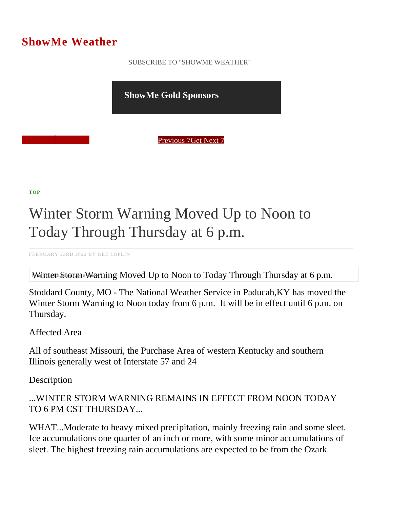## ShowMe Weather

 [SUBSCRIBE TO "SHOWME WEATHER"](/blog_rss.php)

ShowMe Gold Sponsors

Previous Get Next 7

[TOP](/var/www/showmetimes.com/root/javascript:blogScrollToTop()

## Winter Storm Warning Moved Up to Noon to Today Through Thursday at 6 p.m.

FEBRUARY 23RD 2022 BY DEE LOFLIN

Winter Storm Warning Moved Up to Noon to Today Through Thursday at 6 p.m.

Stoddard County, MO - The National Weather Service in Paducah,KY has moved the Winter Storm Warning to Noon today from 6 p.m. It will be in effect until 6 p.m. on Thursday.

Affected Area

All of southeast Missouri, the Purchase Area of western Kentucky and southern Illinois generally west of Interstate 57 and 24

**Description** 

...WINTER STORM WARNING REMAINS IN EFFECT FROM NOON TODAY TO 6 PM CST THURSDAY...

WHAT...Moderate to heavy mixed precipitation, mainly freezing rain and some sleet. Ice accumulations one quarter of an inch or more, with some minor accumulations of sleet. The highest freezing rain accumulations are expected to be from the Ozark